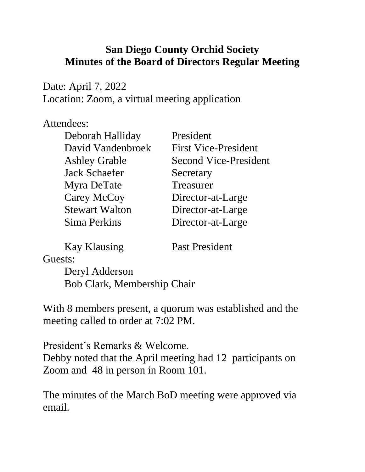## **San Diego County Orchid Society Minutes of the Board of Directors Regular Meeting**

Date: April 7, 2022 Location: Zoom, a virtual meeting application

## Attendees:

| Deborah Halliday      | President                    |
|-----------------------|------------------------------|
| David Vandenbroek     | <b>First Vice-President</b>  |
| <b>Ashley Grable</b>  | <b>Second Vice-President</b> |
| <b>Jack Schaefer</b>  | Secretary                    |
| Myra DeTate           | Treasurer                    |
| Carey McCoy           | Director-at-Large            |
| <b>Stewart Walton</b> | Director-at-Large            |
| Sima Perkins          | Director-at-Large            |

Kay Klausing Past President

Guests:

Deryl Adderson Bob Clark, Membership Chair

With 8 members present, a quorum was established and the meeting called to order at 7:02 PM.

President's Remarks & Welcome. Debby noted that the April meeting had 12 participants on Zoom and 48 in person in Room 101.

The minutes of the March BoD meeting were approved via email.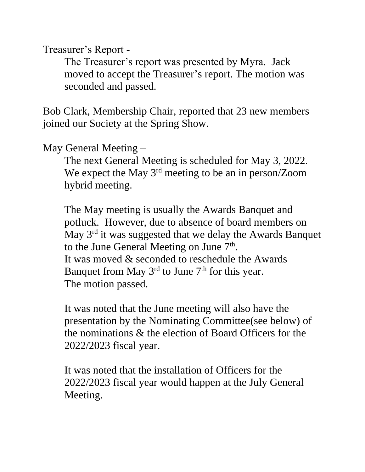Treasurer's Report -

The Treasurer's report was presented by Myra. Jack moved to accept the Treasurer's report. The motion was seconded and passed.

Bob Clark, Membership Chair, reported that 23 new members joined our Society at the Spring Show.

May General Meeting –

The next General Meeting is scheduled for May 3, 2022. We expect the May 3<sup>rd</sup> meeting to be an in person/Zoom hybrid meeting.

The May meeting is usually the Awards Banquet and potluck. However, due to absence of board members on May 3rd it was suggested that we delay the Awards Banquet to the June General Meeting on June  $7<sup>th</sup>$ . It was moved & seconded to reschedule the Awards Banquet from May  $3<sup>rd</sup>$  to June  $7<sup>th</sup>$  for this year. The motion passed.

It was noted that the June meeting will also have the presentation by the Nominating Committee(see below) of the nominations & the election of Board Officers for the 2022/2023 fiscal year.

It was noted that the installation of Officers for the 2022/2023 fiscal year would happen at the July General Meeting.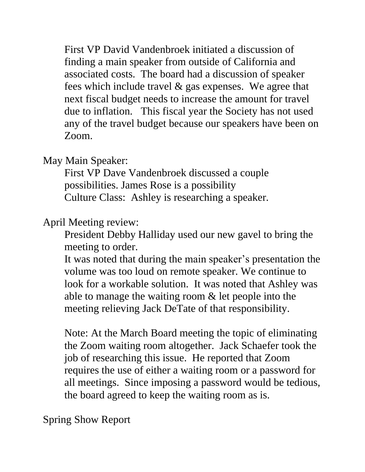First VP David Vandenbroek initiated a discussion of finding a main speaker from outside of California and associated costs. The board had a discussion of speaker fees which include travel & gas expenses. We agree that next fiscal budget needs to increase the amount for travel due to inflation. This fiscal year the Society has not used any of the travel budget because our speakers have been on Zoom.

May Main Speaker:

First VP Dave Vandenbroek discussed a couple possibilities. James Rose is a possibility Culture Class: Ashley is researching a speaker.

April Meeting review:

President Debby Halliday used our new gavel to bring the meeting to order.

It was noted that during the main speaker's presentation the volume was too loud on remote speaker. We continue to look for a workable solution. It was noted that Ashley was able to manage the waiting room & let people into the meeting relieving Jack DeTate of that responsibility.

Note: At the March Board meeting the topic of eliminating the Zoom waiting room altogether. Jack Schaefer took the job of researching this issue. He reported that Zoom requires the use of either a waiting room or a password for all meetings. Since imposing a password would be tedious, the board agreed to keep the waiting room as is.

Spring Show Report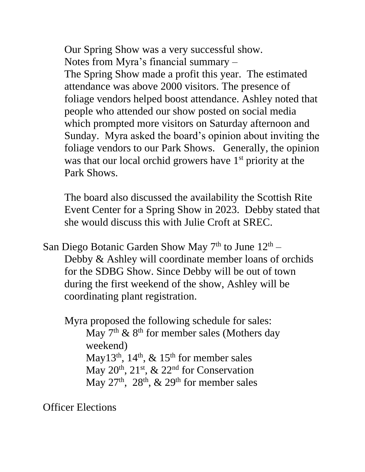Our Spring Show was a very successful show. Notes from Myra's financial summary – The Spring Show made a profit this year. The estimated attendance was above 2000 visitors. The presence of foliage vendors helped boost attendance. Ashley noted that people who attended our show posted on social media which prompted more visitors on Saturday afternoon and Sunday. Myra asked the board's opinion about inviting the foliage vendors to our Park Shows. Generally, the opinion was that our local orchid growers have  $1<sup>st</sup>$  priority at the Park Shows.

The board also discussed the availability the Scottish Rite Event Center for a Spring Show in 2023. Debby stated that she would discuss this with Julie Croft at SREC.

San Diego Botanic Garden Show May  $7<sup>th</sup>$  to June  $12<sup>th</sup>$  – Debby & Ashley will coordinate member loans of orchids for the SDBG Show. Since Debby will be out of town during the first weekend of the show, Ashley will be coordinating plant registration.

 Myra proposed the following schedule for sales: May  $7<sup>th</sup>$  &  $8<sup>th</sup>$  for member sales (Mothers day weekend) May13<sup>th</sup>, 14<sup>th</sup>, & 15<sup>th</sup> for member sales May  $20^{th}$ ,  $21^{st}$ , &  $22^{nd}$  for Conservation May  $27<sup>th</sup>$ ,  $28<sup>th</sup>$ ,  $\&$   $29<sup>th</sup>$  for member sales

Officer Elections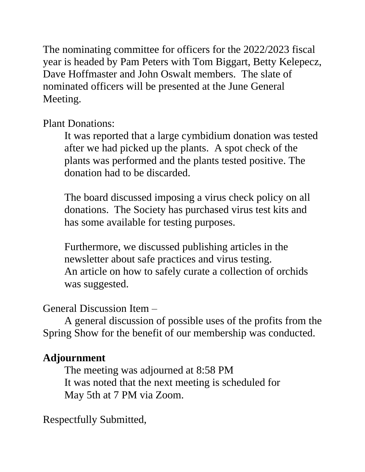The nominating committee for officers for the 2022/2023 fiscal year is headed by Pam Peters with Tom Biggart, Betty Kelepecz, Dave Hoffmaster and John Oswalt members. The slate of nominated officers will be presented at the June General Meeting.

Plant Donations:

It was reported that a large cymbidium donation was tested after we had picked up the plants. A spot check of the plants was performed and the plants tested positive. The donation had to be discarded.

The board discussed imposing a virus check policy on all donations. The Society has purchased virus test kits and has some available for testing purposes.

Furthermore, we discussed publishing articles in the newsletter about safe practices and virus testing. An article on how to safely curate a collection of orchids was suggested.

General Discussion Item –

A general discussion of possible uses of the profits from the Spring Show for the benefit of our membership was conducted.

## **Adjournment**

The meeting was adjourned at 8:58 PM It was noted that the next meeting is scheduled for May 5th at 7 PM via Zoom.

Respectfully Submitted,